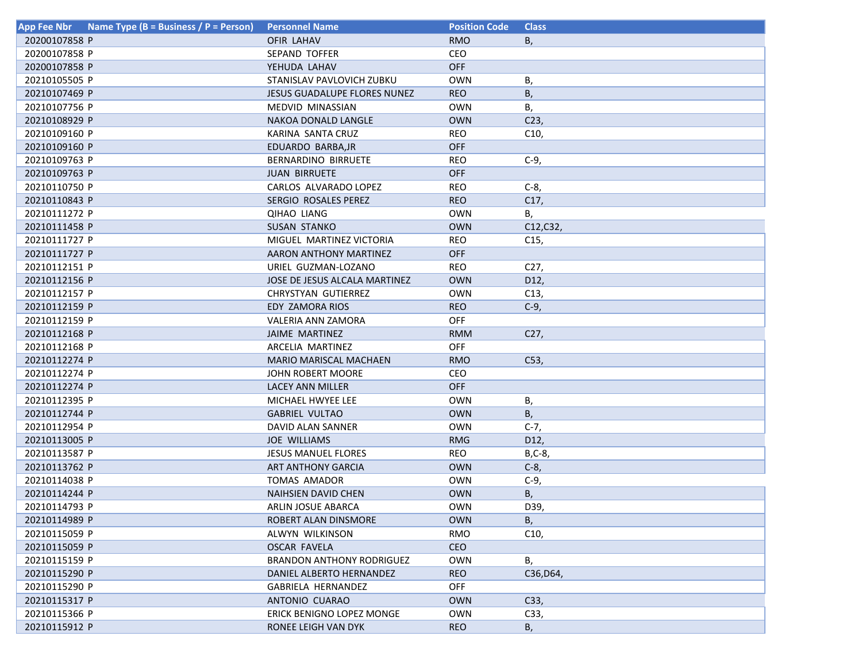| <b>App Fee Nbr</b> | Name Type (B = Business / P = Person) | <b>Personnel Name</b>            | <b>Position Code</b> | <b>Class</b>    |
|--------------------|---------------------------------------|----------------------------------|----------------------|-----------------|
| 20200107858 P      |                                       | OFIR LAHAV                       | <b>RMO</b>           | В,              |
| 20200107858 P      |                                       | <b>SEPAND TOFFER</b>             | CEO                  |                 |
| 20200107858 P      |                                       | YEHUDA LAHAV                     | OFF                  |                 |
| 20210105505 P      |                                       | STANISLAV PAVLOVICH ZUBKU        | <b>OWN</b>           | Β,              |
| 20210107469 P      |                                       | JESUS GUADALUPE FLORES NUNEZ     | <b>REO</b>           | Β,              |
| 20210107756 P      |                                       | MEDVID MINASSIAN                 | <b>OWN</b>           | В,              |
| 20210108929 P      |                                       | NAKOA DONALD LANGLE              | <b>OWN</b>           | C <sub>23</sub> |
| 20210109160 P      |                                       | KARINA SANTA CRUZ                | <b>REO</b>           | C10,            |
| 20210109160 P      |                                       | EDUARDO BARBA, JR                | <b>OFF</b>           |                 |
| 20210109763 P      |                                       | <b>BERNARDINO BIRRUETE</b>       | <b>REO</b>           | $C-9$ ,         |
| 20210109763 P      |                                       | <b>JUAN BIRRUETE</b>             | <b>OFF</b>           |                 |
| 20210110750 P      |                                       | CARLOS ALVARADO LOPEZ            | <b>REO</b>           | $C-8$           |
| 20210110843 P      |                                       | SERGIO ROSALES PEREZ             | <b>REO</b>           | C17,            |
| 20210111272 P      |                                       | <b>QIHAO LIANG</b>               | <b>OWN</b>           | В,              |
| 20210111458 P      |                                       | <b>SUSAN STANKO</b>              | <b>OWN</b>           | C12, C32,       |
| 20210111727 P      |                                       | MIGUEL MARTINEZ VICTORIA         | <b>REO</b>           | C15,            |
| 20210111727 P      |                                       | AARON ANTHONY MARTINEZ           | <b>OFF</b>           |                 |
| 20210112151 P      |                                       | URIEL GUZMAN-LOZANO              | <b>REO</b>           | C <sub>27</sub> |
| 20210112156 P      |                                       | JOSE DE JESUS ALCALA MARTINEZ    | <b>OWN</b>           | D12,            |
| 20210112157 P      |                                       | CHRYSTYAN GUTIERREZ              | <b>OWN</b>           | C13,            |
| 20210112159 P      |                                       | EDY ZAMORA RIOS                  | <b>REO</b>           | $C-9$           |
| 20210112159 P      |                                       | VALERIA ANN ZAMORA               | OFF                  |                 |
| 20210112168 P      |                                       | JAIME MARTINEZ                   | <b>RMM</b>           | C27,            |
| 20210112168 P      |                                       | ARCELIA MARTINEZ                 | <b>OFF</b>           |                 |
| 20210112274 P      |                                       | <b>MARIO MARISCAL MACHAEN</b>    | <b>RMO</b>           | C53,            |
| 20210112274 P      |                                       | JOHN ROBERT MOORE                | CEO                  |                 |
| 20210112274 P      |                                       | LACEY ANN MILLER                 | OFF                  |                 |
| 20210112395 P      |                                       | MICHAEL HWYEE LEE                | <b>OWN</b>           | В,              |
| 20210112744 P      |                                       | <b>GABRIEL VULTAO</b>            | <b>OWN</b>           | В,              |
| 20210112954 P      |                                       | DAVID ALAN SANNER                | <b>OWN</b>           | $C-7,$          |
| 20210113005 P      |                                       | <b>JOE WILLIAMS</b>              | <b>RMG</b>           | D12,            |
| 20210113587 P      |                                       | <b>JESUS MANUEL FLORES</b>       | <b>REO</b>           | $B, C-8$        |
| 20210113762 P      |                                       | ART ANTHONY GARCIA               | <b>OWN</b>           | $C-8$           |
| 20210114038 P      |                                       | <b>TOMAS AMADOR</b>              | <b>OWN</b>           | $C-9$           |
| 20210114244 P      |                                       | <b>NAIHSIEN DAVID CHEN</b>       | <b>OWN</b>           | B,              |
| 20210114793 P      |                                       | ARLIN JOSUE ABARCA               | <b>OWN</b>           | D39,            |
| 20210114989 P      |                                       | ROBERT ALAN DINSMORE             | <b>OWN</b>           | B,              |
| 20210115059 P      |                                       | ALWYN WILKINSON                  | RMO                  | C10,            |
| 20210115059 P      |                                       | <b>OSCAR FAVELA</b>              | <b>CEO</b>           |                 |
| 20210115159 P      |                                       | <b>BRANDON ANTHONY RODRIGUEZ</b> | <b>OWN</b>           | В,              |
| 20210115290 P      |                                       | DANIEL ALBERTO HERNANDEZ         | <b>REO</b>           | C36, D64,       |
| 20210115290 P      |                                       | GABRIELA HERNANDEZ               | <b>OFF</b>           |                 |
| 20210115317 P      |                                       | ANTONIO CUARAO                   | <b>OWN</b>           | C33,            |
| 20210115366 P      |                                       | ERICK BENIGNO LOPEZ MONGE        | <b>OWN</b>           | C33,            |
| 20210115912 P      |                                       | RONEE LEIGH VAN DYK              | <b>REO</b>           | В,              |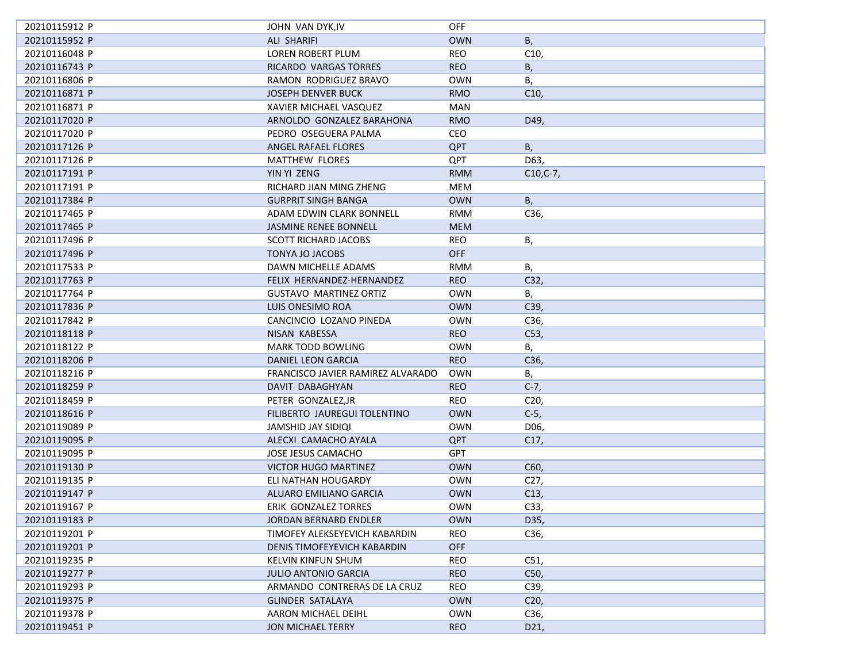| 20210115912 P | JOHN VAN DYK, IV                  | <b>OFF</b> |                            |
|---------------|-----------------------------------|------------|----------------------------|
| 20210115952 P | <b>ALI SHARIFI</b>                | <b>OWN</b> | В,                         |
| 20210116048 P | LOREN ROBERT PLUM                 | <b>REO</b> | C10,                       |
| 20210116743 P | RICARDO VARGAS TORRES             | <b>REO</b> | B,                         |
| 20210116806 P | RAMON RODRIGUEZ BRAVO             | <b>OWN</b> | В,                         |
| 20210116871 P | <b>JOSEPH DENVER BUCK</b>         | <b>RMO</b> | C10,                       |
| 20210116871 P | XAVIER MICHAEL VASQUEZ            | MAN        |                            |
| 20210117020 P | ARNOLDO GONZALEZ BARAHONA         | <b>RMO</b> | D49,                       |
| 20210117020 P | PEDRO OSEGUERA PALMA              | CEO        |                            |
| 20210117126 P | ANGEL RAFAEL FLORES               | <b>QPT</b> | В,                         |
| 20210117126 P | <b>MATTHEW FLORES</b>             | QPT        | D63,                       |
| 20210117191 P | YIN YI ZENG                       | <b>RMM</b> | $C10, C-7,$                |
| 20210117191 P | RICHARD JIAN MING ZHENG           | MEM        |                            |
| 20210117384 P | <b>GURPRIT SINGH BANGA</b>        | <b>OWN</b> | B,                         |
| 20210117465 P | ADAM EDWIN CLARK BONNELL          | <b>RMM</b> | C36,                       |
| 20210117465 P | JASMINE RENEE BONNELL             | <b>MEM</b> |                            |
| 20210117496 P | <b>SCOTT RICHARD JACOBS</b>       | <b>REO</b> | В,                         |
| 20210117496 P | <b>TONYA JO JACOBS</b>            | <b>OFF</b> |                            |
| 20210117533 P | DAWN MICHELLE ADAMS               | <b>RMM</b> | В,                         |
| 20210117763 P | FELIX HERNANDEZ-HERNANDEZ         | <b>REO</b> | C32,                       |
| 20210117764 P | <b>GUSTAVO MARTINEZ ORTIZ</b>     | <b>OWN</b> | В,                         |
| 20210117836 P | LUIS ONESIMO ROA                  | <b>OWN</b> | C39,                       |
| 20210117842 P | CANCINCIO LOZANO PINEDA           | <b>OWN</b> | C36,                       |
| 20210118118 P | NISAN KABESSA                     | <b>REO</b> | C53,                       |
| 20210118122 P | MARK TODD BOWLING                 | <b>OWN</b> | В,                         |
| 20210118206 P | DANIEL LEON GARCIA                | <b>REO</b> | C36,                       |
| 20210118216 P | FRANCISCO JAVIER RAMIREZ ALVARADO | <b>OWN</b> | В,                         |
| 20210118259 P | DAVIT DABAGHYAN                   | <b>REO</b> | $C-7,$                     |
|               |                                   |            |                            |
| 20210118459 P | PETER GONZALEZ, JR                | <b>REO</b> | C <sub>20</sub><br>$C-5$ , |
| 20210118616 P | FILIBERTO JAUREGUI TOLENTINO      | <b>OWN</b> |                            |
| 20210119089 P | JAMSHID JAY SIDIQI                | <b>OWN</b> | D06,                       |
| 20210119095 P | ALECXI CAMACHO AYALA              | <b>QPT</b> | C17,                       |
| 20210119095 P | JOSE JESUS CAMACHO                | <b>GPT</b> |                            |
| 20210119130 P | <b>VICTOR HUGO MARTINEZ</b>       | <b>OWN</b> | C60,                       |
| 20210119135 P | ELI NATHAN HOUGARDY               | <b>OWN</b> | C <sub>27</sub>            |
| 20210119147 P | ALUARO EMILIANO GARCIA            | <b>OWN</b> | C13,                       |
| 20210119167 P | ERIK GONZALEZ TORRES              | <b>OWN</b> | C33,                       |
| 20210119183 P | JORDAN BERNARD ENDLER             | <b>OWN</b> | D35,                       |
| 20210119201 P | TIMOFEY ALEKSEYEVICH KABARDIN     | REO        | C36,                       |
| 20210119201 P | DENIS TIMOFEYEVICH KABARDIN       | OFF        |                            |
| 20210119235 P | KELVIN KINFUN SHUM                | REO        | C51,                       |
| 20210119277 P | <b>JULIO ANTONIO GARCIA</b>       | <b>REO</b> | C50,                       |
| 20210119293 P | ARMANDO CONTRERAS DE LA CRUZ      | REO        | C39,                       |
| 20210119375 P | <b>GLINDER SATALAYA</b>           | <b>OWN</b> | C <sub>20</sub>            |
| 20210119378 P | AARON MICHAEL DEIHL               | <b>OWN</b> | C36,                       |
| 20210119451 P | <b>JON MICHAEL TERRY</b>          | <b>REO</b> | D21,                       |